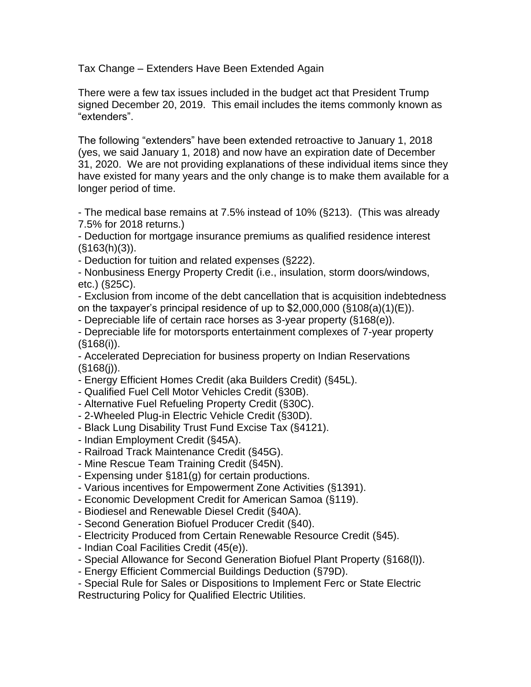Tax Change – Extenders Have Been Extended Again

There were a few tax issues included in the budget act that President Trump signed December 20, 2019. This email includes the items commonly known as "extenders".

The following "extenders" have been extended retroactive to January 1, 2018 (yes, we said January 1, 2018) and now have an expiration date of December 31, 2020. We are not providing explanations of these individual items since they have existed for many years and the only change is to make them available for a longer period of time.

- The medical base remains at 7.5% instead of 10% (§213). (This was already 7.5% for 2018 returns.)

- Deduction for mortgage insurance premiums as qualified residence interest  $(S163(h)(3))$ .

- Deduction for tuition and related expenses (§222).

- Nonbusiness Energy Property Credit (i.e., insulation, storm doors/windows, etc.) (§25C).

- Exclusion from income of the debt cancellation that is acquisition indebtedness on the taxpayer's principal residence of up to  $$2,000,000$  ( $$108(a)(1)(E)$ ).

- Depreciable life of certain race horses as 3-year property (§168(e)).

- Depreciable life for motorsports entertainment complexes of 7-year property (§168(i)).

- Accelerated Depreciation for business property on Indian Reservations  $(§168(j)).$ 

- Energy Efficient Homes Credit (aka Builders Credit) (§45L).

- Qualified Fuel Cell Motor Vehicles Credit (§30B).
- Alternative Fuel Refueling Property Credit (§30C).
- 2-Wheeled Plug-in Electric Vehicle Credit (§30D).
- Black Lung Disability Trust Fund Excise Tax (§4121).
- Indian Employment Credit (§45A).
- Railroad Track Maintenance Credit (§45G).
- Mine Rescue Team Training Credit (§45N).
- Expensing under §181(g) for certain productions.
- Various incentives for Empowerment Zone Activities (§1391).
- Economic Development Credit for American Samoa (§119).
- Biodiesel and Renewable Diesel Credit (§40A).
- Second Generation Biofuel Producer Credit (§40).
- Electricity Produced from Certain Renewable Resource Credit (§45).
- Indian Coal Facilities Credit (45(e)).
- Special Allowance for Second Generation Biofuel Plant Property (§168(l)).
- Energy Efficient Commercial Buildings Deduction (§79D).
- Special Rule for Sales or Dispositions to Implement Ferc or State Electric Restructuring Policy for Qualified Electric Utilities.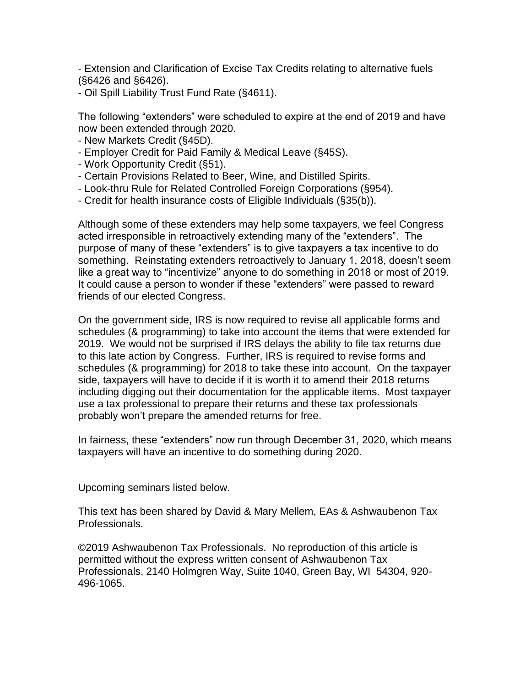- Extension and Clarification of Excise Tax Credits relating to alternative fuels (§6426 and §6426).

- Oil Spill Liability Trust Fund Rate (§4611).

The following "extenders" were scheduled to expire at the end of 2019 and have now been extended through 2020.

- New Markets Credit (§45D).
- Employer Credit for Paid Family & Medical Leave (§45S).
- Work Opportunity Credit (§51).
- Certain Provisions Related to Beer, Wine, and Distilled Spirits.
- Look-thru Rule for Related Controlled Foreign Corporations (§954).
- Credit for health insurance costs of Eligible Individuals (§35(b)).

Although some of these extenders may help some taxpayers, we feel Congress acted irresponsible in retroactively extending many of the "extenders". The purpose of many of these "extenders" is to give taxpayers a tax incentive to do something. Reinstating extenders retroactively to January 1, 2018, doesn't seem like a great way to "incentivize" anyone to do something in 2018 or most of 2019. It could cause a person to wonder if these "extenders" were passed to reward friends of our elected Congress.

On the government side, IRS is now required to revise all applicable forms and schedules (& programming) to take into account the items that were extended for 2019. We would not be surprised if IRS delays the ability to file tax returns due to this late action by Congress. Further, IRS is required to revise forms and schedules (& programming) for 2018 to take these into account. On the taxpayer side, taxpayers will have to decide if it is worth it to amend their 2018 returns including digging out their documentation for the applicable items. Most taxpayer use a tax professional to prepare their returns and these tax professionals probably won't prepare the amended returns for free.

In fairness, these "extenders" now run through December 31, 2020, which means taxpayers will have an incentive to do something during 2020.

Upcoming seminars listed below.

This text has been shared by David & Mary Mellem, EAs & Ashwaubenon Tax Professionals.

©2019 Ashwaubenon Tax Professionals. No reproduction of this article is permitted without the express written consent of Ashwaubenon Tax Professionals, 2140 Holmgren Way, Suite 1040, Green Bay, WI 54304, 920- 496-1065.